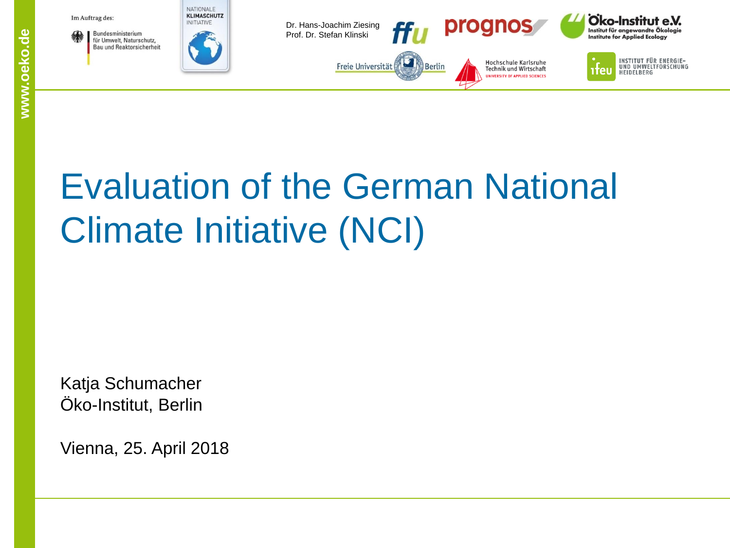

# Evaluation of the German National Climate Initiative (NCI)

Katja Schumacher Öko-Institut, Berlin

Vienna, 25. April 2018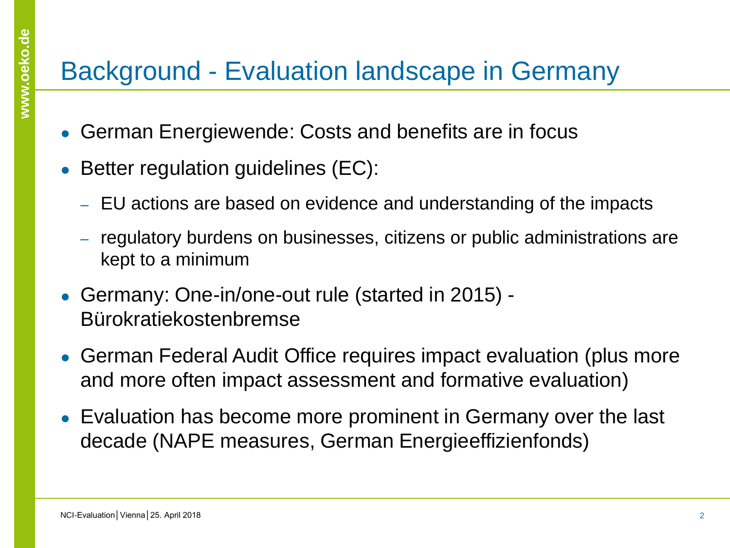#### Background - Evaluation landscape in Germany

- German Energiewende: Costs and benefits are in focus
- Better regulation guidelines (EC):
	- ‒ EU actions are based on evidence and understanding of the impacts
	- ‒ regulatory burdens on businesses, citizens or public administrations are kept to a minimum
- Germany: One-in/one-out rule (started in 2015) -Bürokratiekostenbremse
- German Federal Audit Office requires impact evaluation (plus more and more often impact assessment and formative evaluation)
- Evaluation has become more prominent in Germany over the last decade (NAPE measures, German Energieeffizienfonds)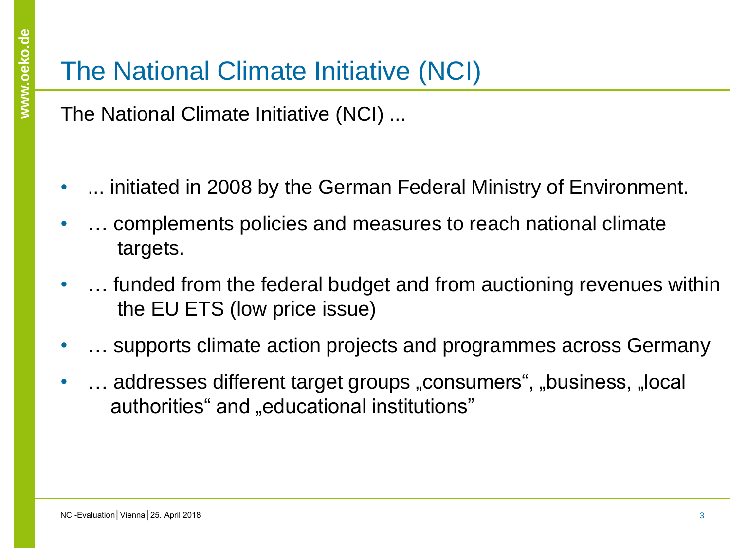#### The National Climate Initiative (NCI)

The National Climate Initiative (NCI) ...

- ... initiated in 2008 by the German Federal Ministry of Environment.
- … complements policies and measures to reach national climate targets.
- ... funded from the federal budget and from auctioning revenues within the EU ETS (low price issue)
- ... supports climate action projects and programmes across Germany
- ... addresses different target groups "consumers", "business, "local authorities" and "educational institutions"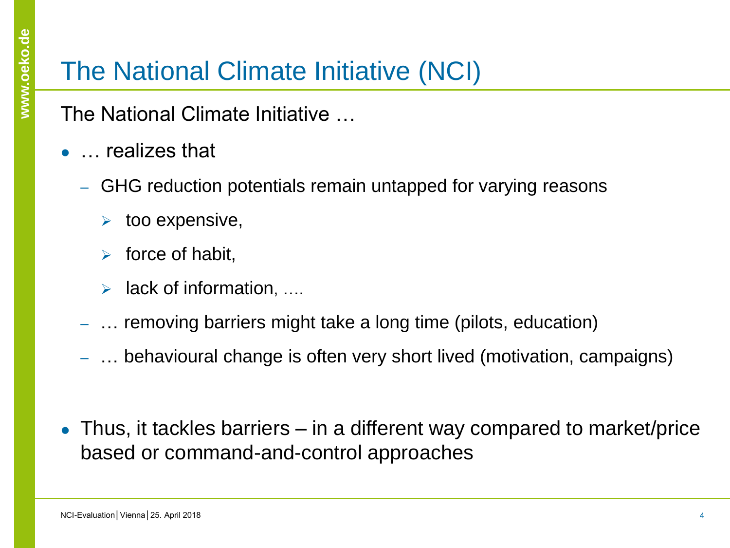## The National Climate Initiative (NCI)

The National Climate Initiative …

- ... realizes that
	- ‒ GHG reduction potentials remain untapped for varying reasons
		- $\triangleright$  too expensive,
		- $\triangleright$  force of habit,
		- $\triangleright$  lack of information, ....
	- ‒ … removing barriers might take a long time (pilots, education)
	- ‒ … behavioural change is often very short lived (motivation, campaigns)
- Thus, it tackles barriers  $-$  in a different way compared to market/price based or command-and-control approaches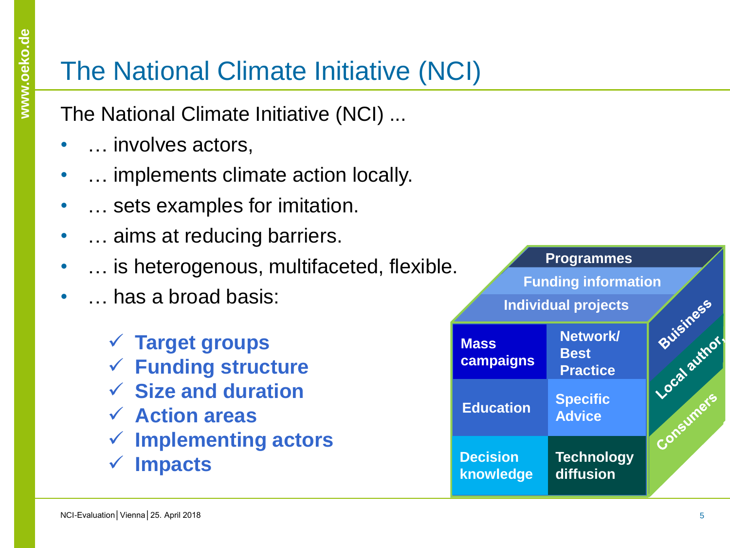## The National Climate Initiative (NCI)

The National Climate Initiative (NCI) ...

- … involves actors,
- … implements climate action locally.
- ... sets examples for imitation.
- **...** aims at reducing barriers.
- ... is heterogenous, multifaceted, flexible.
- … has a broad basis:
	- **Target groups**
	- **Funding structure**
	- **Size and duration**
	- **Action areas**
	- **Implementing actors**
	- **Impacts**

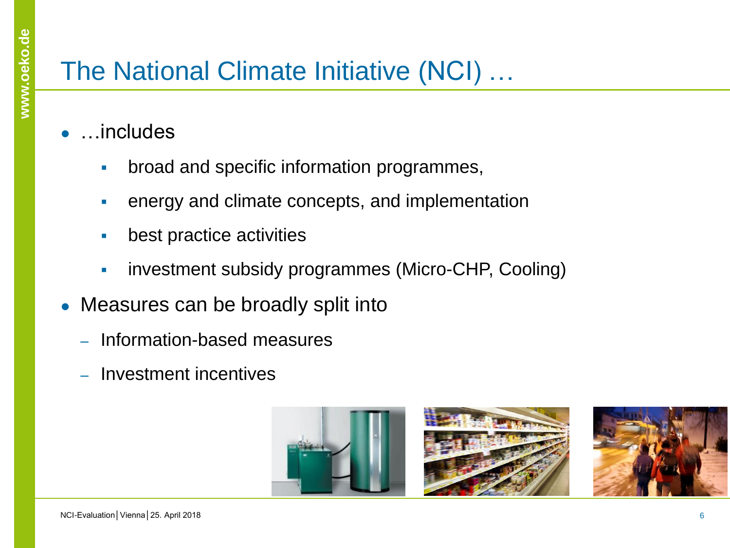## The National Climate Initiative (NCI) …

- …includes
	- **broad and specific information programmes,**
	- energy and climate concepts, and implementation
	- **best practice activities**
	- **i** investment subsidy programmes (Micro-CHP, Cooling)
- Measures can be broadly split into
	- ‒ Information-based measures
	- ‒ Investment incentives



**www.oeko.de**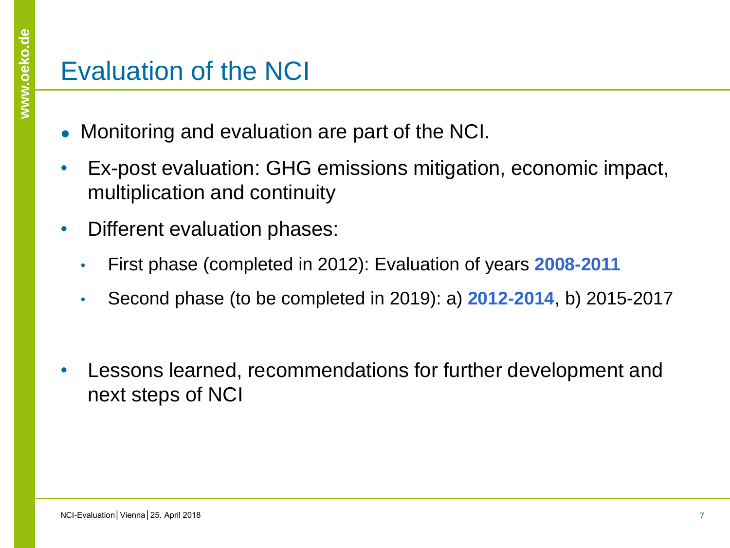#### Evaluation of the NCI

- Monitoring and evaluation are part of the NCI.
- Ex-post evaluation: GHG emissions mitigation, economic impact, multiplication and continuity
- Different evaluation phases:
	- First phase (completed in 2012): Evaluation of years **2008-2011**
	- Second phase (to be completed in 2019): a) **2012-2014**, b) 2015-2017
- Lessons learned, recommendations for further development and next steps of NCI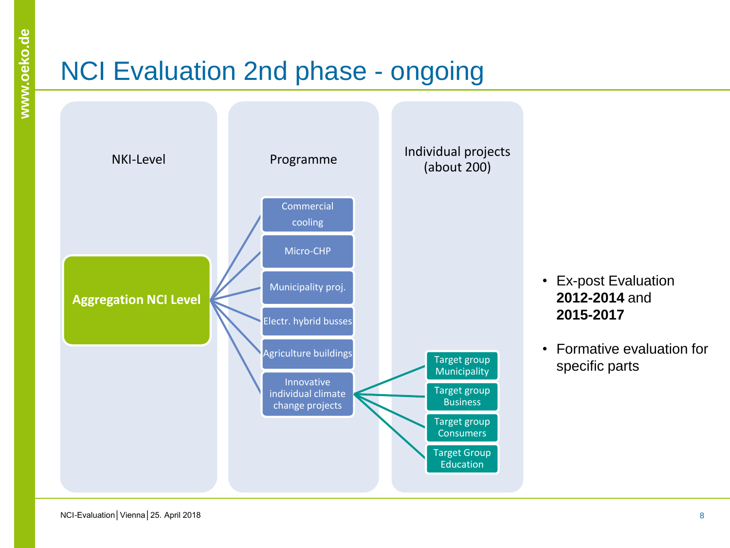## NCI Evaluation 2nd phase - ongoing



- Ex-post Evaluation **2012-2014** and **2015-2017**
- Formative evaluation for specific parts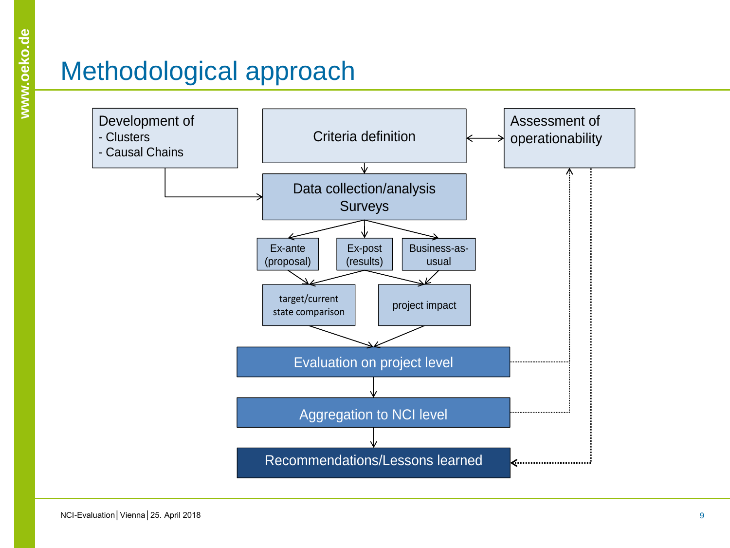## Methodological approach

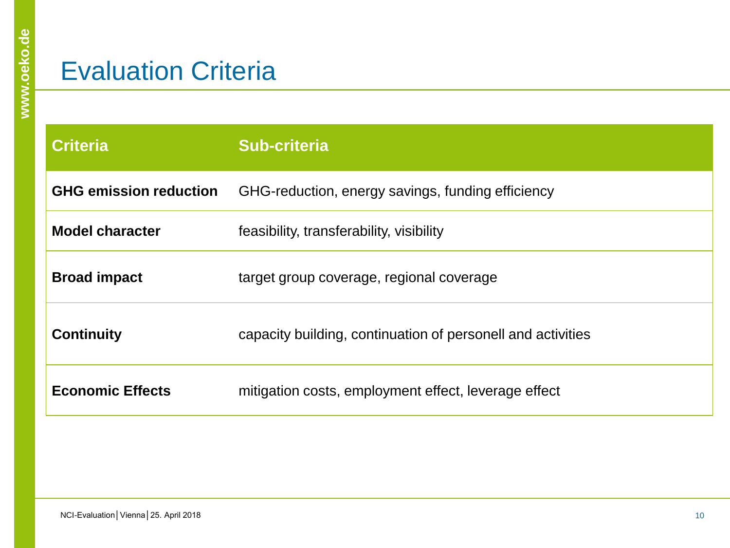#### Evaluation Criteria

| <b>Criteria</b>               | <b>Sub-criteria</b>                                         |  |  |  |  |
|-------------------------------|-------------------------------------------------------------|--|--|--|--|
| <b>GHG emission reduction</b> | GHG-reduction, energy savings, funding efficiency           |  |  |  |  |
| <b>Model character</b>        | feasibility, transferability, visibility                    |  |  |  |  |
| <b>Broad impact</b>           | target group coverage, regional coverage                    |  |  |  |  |
| <b>Continuity</b>             | capacity building, continuation of personell and activities |  |  |  |  |
| <b>Economic Effects</b>       | mitigation costs, employment effect, leverage effect        |  |  |  |  |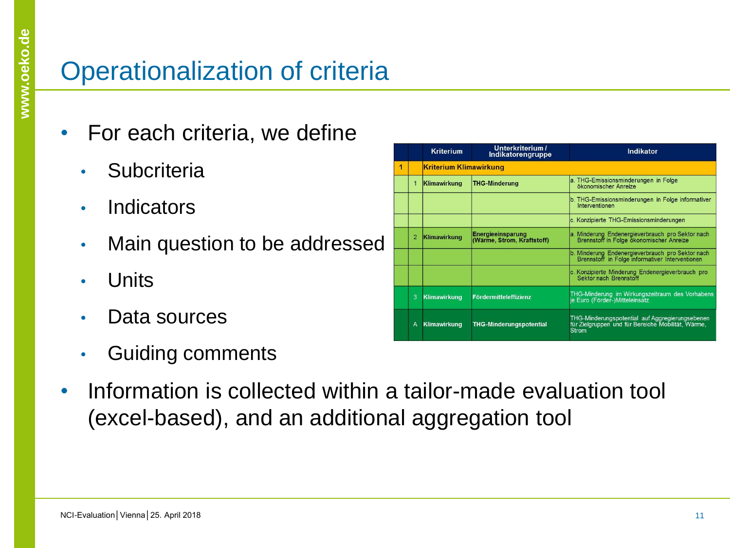## Operationalization of criteria

- For each criteria, we define
	- Subcriteria
	- Indicators
	- Main question to be addressed
	- Units
	- Data sources
	- Guiding comments

|   |                | <b>Kriterium</b>    | Unterkriterium /<br>Indikatorengruppe                  | Indikator                                                                                                      |  |  |  |  |  |  |
|---|----------------|---------------------|--------------------------------------------------------|----------------------------------------------------------------------------------------------------------------|--|--|--|--|--|--|
| 1 |                |                     | <b>Kriterium Klimawirkung</b>                          |                                                                                                                |  |  |  |  |  |  |
|   | 1              | Klimawirkung        | <b>THG-Minderung</b>                                   | a. THG-Emissionsminderungen in Folge<br>ökonomischer Anreize                                                   |  |  |  |  |  |  |
|   |                |                     |                                                        | b. THG-Emissionsminderungen in Folge informativer<br>Interventionen                                            |  |  |  |  |  |  |
|   |                |                     |                                                        | c. Konzipierte THG-Emissionsminderungen                                                                        |  |  |  |  |  |  |
|   | $\overline{2}$ | Klimawirkung        | <b>Energieeinsparung</b><br>(Wärme, Strom, Kraftstoff) | a. Minderung Endenergieverbrauch pro Sektor nach<br>Brennstoff in Folge ökonomischer Anreize                   |  |  |  |  |  |  |
|   |                |                     |                                                        | b. Minderung Endenergieverbrauch pro Sektor nach<br>Brennstoff in Folge informativer Interventionen            |  |  |  |  |  |  |
|   |                |                     |                                                        | c. Konzipierte Minderung Endenergieverbrauch pro<br>Sektor nach Brennstoff                                     |  |  |  |  |  |  |
|   | 3              | <b>Klimawirkung</b> | Fördermitteleffizienz                                  | THG-Minderung im Wirkungszeitraum des Vorhabens<br>je Euro (Förder-)Mitteleinsatz                              |  |  |  |  |  |  |
|   | A              | <b>Klimawirkung</b> | <b>THG-Minderungspotential</b>                         | THG-Minderungspotential auf Aggregierungsebenen<br>für Zielgruppen und für Bereiche Mobilität, Wärme,<br>Strom |  |  |  |  |  |  |

• Information is collected within a tailor-made evaluation tool (excel-based), and an additional aggregation tool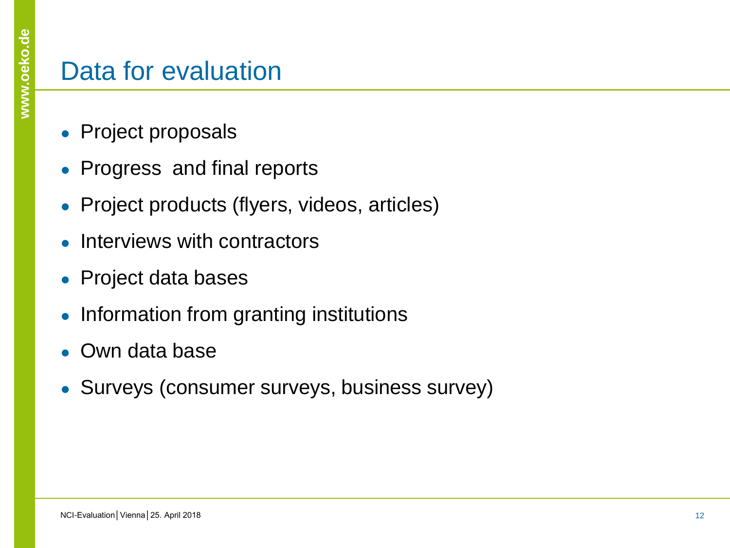#### Data for evaluation

- Project proposals
- Progress and final reports
- Project products (flyers, videos, articles)
- Interviews with contractors
- Project data bases
- Information from granting institutions
- Own data base
- Surveys (consumer surveys, business survey)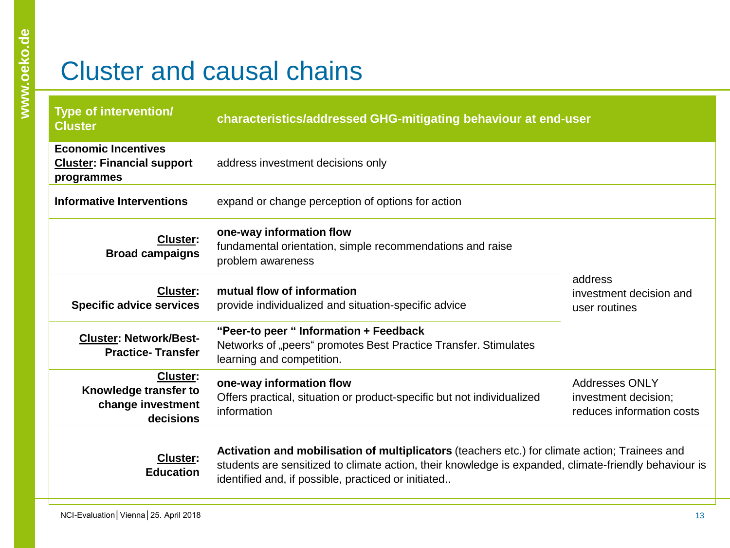## Cluster and causal chains

| <b>Type of intervention/</b><br><b>Cluster</b>                                | characteristics/addressed GHG-mitigating behaviour at end-user                                                                                                                                                                                                 |                                                     |  |  |  |
|-------------------------------------------------------------------------------|----------------------------------------------------------------------------------------------------------------------------------------------------------------------------------------------------------------------------------------------------------------|-----------------------------------------------------|--|--|--|
| <b>Economic Incentives</b><br><b>Cluster: Financial support</b><br>programmes | address investment decisions only                                                                                                                                                                                                                              |                                                     |  |  |  |
| <b>Informative Interventions</b>                                              | expand or change perception of options for action                                                                                                                                                                                                              |                                                     |  |  |  |
| <b>Cluster:</b><br><b>Broad campaigns</b>                                     |                                                                                                                                                                                                                                                                |                                                     |  |  |  |
| <b>Cluster:</b><br><b>Specific advice services</b>                            | mutual flow of information<br>provide individualized and situation-specific advice                                                                                                                                                                             | address<br>investment decision and<br>user routines |  |  |  |
| <b>Cluster: Network/Best-</b><br><b>Practice-Transfer</b>                     | "Peer-to peer " Information + Feedback<br>Networks of "peers" promotes Best Practice Transfer. Stimulates<br>learning and competition.                                                                                                                         |                                                     |  |  |  |
| <b>Cluster:</b><br>Knowledge transfer to<br>change investment<br>decisions    | <b>Addresses ONLY</b><br>investment decision;<br>reduces information costs                                                                                                                                                                                     |                                                     |  |  |  |
| <b>Cluster:</b><br><b>Education</b>                                           | Activation and mobilisation of multiplicators (teachers etc.) for climate action; Trainees and<br>students are sensitized to climate action, their knowledge is expanded, climate-friendly behaviour is<br>identified and, if possible, practiced or initiated |                                                     |  |  |  |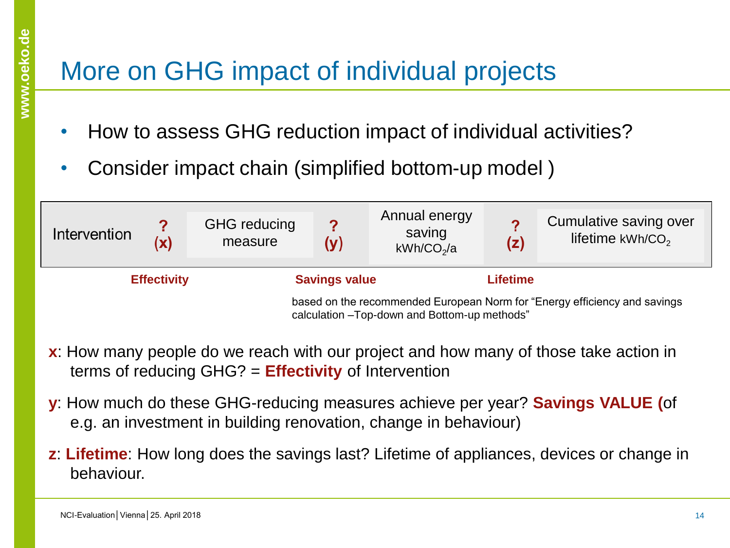## More on GHG impact of individual projects

- How to assess GHG reduction impact of individual activities?
- Consider impact chain (simplified bottom-up model )

| Intervention                                                                                                               | (x)                | <b>GHG</b> reducing<br>measure | ႒<br>(v)             | Annual energy<br>saving<br>kWh/CO <sub>2</sub> /a | (z)             | Cumulative saving over<br>lifetime $kWh/CO2$ |
|----------------------------------------------------------------------------------------------------------------------------|--------------------|--------------------------------|----------------------|---------------------------------------------------|-----------------|----------------------------------------------|
|                                                                                                                            | <b>Effectivity</b> |                                | <b>Savings value</b> |                                                   | <b>Lifetime</b> |                                              |
| based on the recommended European Norm for "Energy efficiency and savings<br>calculation - Top-down and Bottom-up methods" |                    |                                |                      |                                                   |                 |                                              |

- **x**: How many people do we reach with our project and how many of those take action in terms of reducing GHG? = **Effectivity** of Intervention
- **y**: How much do these GHG-reducing measures achieve per year? **Savings VALUE (**of e.g. an investment in building renovation, change in behaviour)
- **z**: **Lifetime**: How long does the savings last? Lifetime of appliances, devices or change in behaviour.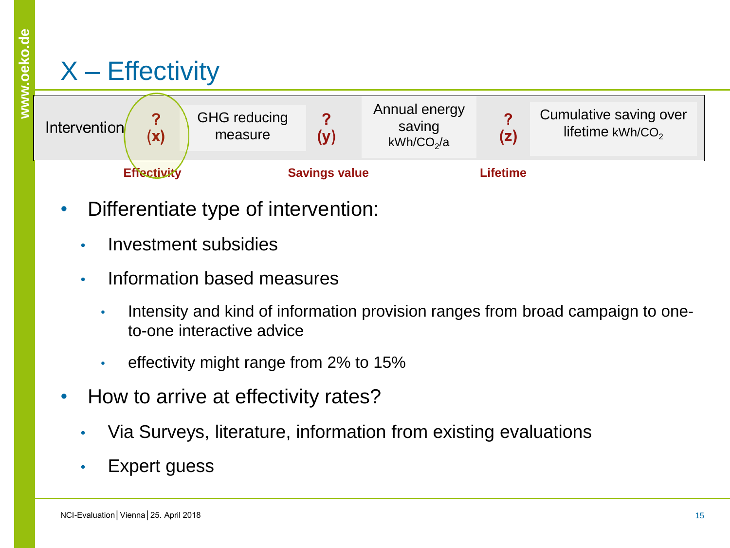## $X$  – Effectivity

| Intervention | (x)                | <b>GHG</b> reducing<br>measure | (v)                  | Annual energy<br>saving<br>kWh/CO <sub>2</sub> /a | ◠<br>(z) | Cumulative saving over<br>lifetime kWh/CO <sub>2</sub> |
|--------------|--------------------|--------------------------------|----------------------|---------------------------------------------------|----------|--------------------------------------------------------|
|              | <b>Effectivity</b> |                                | <b>Savings value</b> |                                                   | Lifetime |                                                        |

- Differentiate type of intervention:
	- Investment subsidies
	- Information based measures
		- Intensity and kind of information provision ranges from broad campaign to oneto-one interactive advice
		- effectivity might range from 2% to 15%
- How to arrive at effectivity rates?
	- Via Surveys, literature, information from existing evaluations
	- Expert guess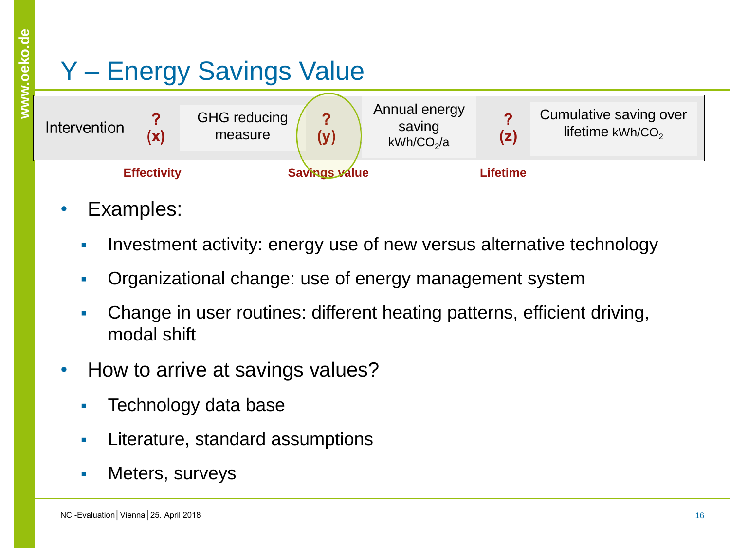## Y – Energy Savings Value

| Intervention | $\mathbf{v}$       | <b>GHG</b> reducing<br>measure | ∩<br>(y)      | Annual energy<br>saving<br>kWh/CO <sub>2</sub> /a | (z)             | Cumulative saving over<br>lifetime $kWh/CO2$ |
|--------------|--------------------|--------------------------------|---------------|---------------------------------------------------|-----------------|----------------------------------------------|
|              | <b>Effectivity</b> |                                | Savings value |                                                   | <b>Lifetime</b> |                                              |

- Examples:
	- Investment activity: energy use of new versus alternative technology
	- Organizational change: use of energy management system
	- Change in user routines: different heating patterns, efficient driving, modal shift
- How to arrive at savings values?
	- **Technology data base**
	- **Literature, standard assumptions**
	- **Neters, surveys**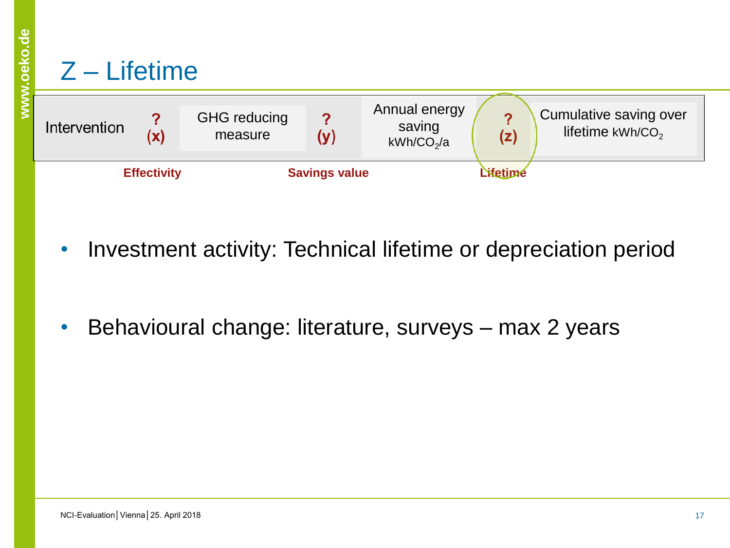#### Z – Lifetime



- Investment activity: Technical lifetime or depreciation period
- Behavioural change: literature, surveys max 2 years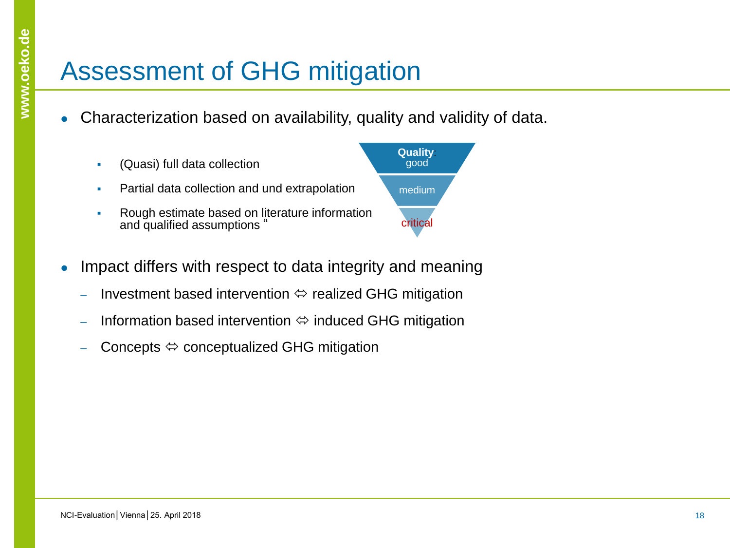## Assessment of GHG mitigation

- Characterization based on availability, quality and validity of data.
	- (Quasi) full data collection **Partial data collection and und extrapolation Rough estimate based on literature information** and qualified assumptions " **Quality**: good medium critical
- Impact differs with respect to data integrity and meaning
	- Investment based intervention  $\Leftrightarrow$  realized GHG mitigation
	- Information based intervention  $\Leftrightarrow$  induced GHG mitigation
	- Concepts  $\Leftrightarrow$  conceptualized GHG mitigation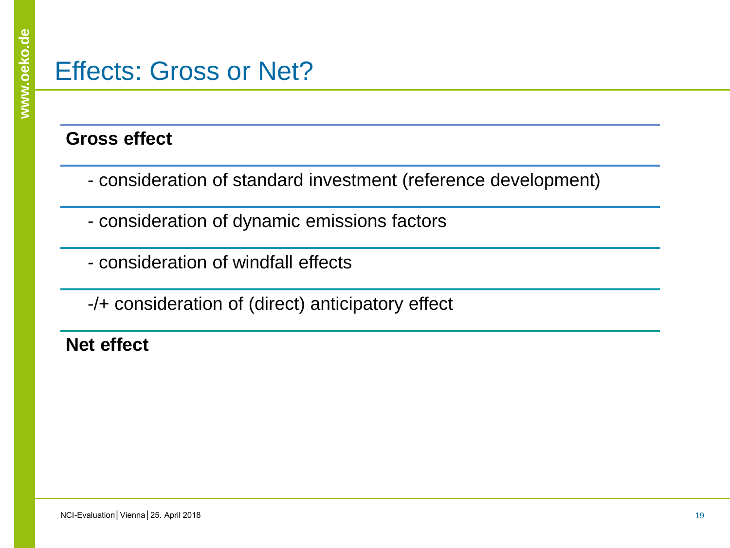#### Effects: Gross or Net?

#### **Gross effect**

- consideration of standard investment (reference development)
- consideration of dynamic emissions factors
- consideration of windfall effects

-/+ consideration of (direct) anticipatory effect

**Net effect**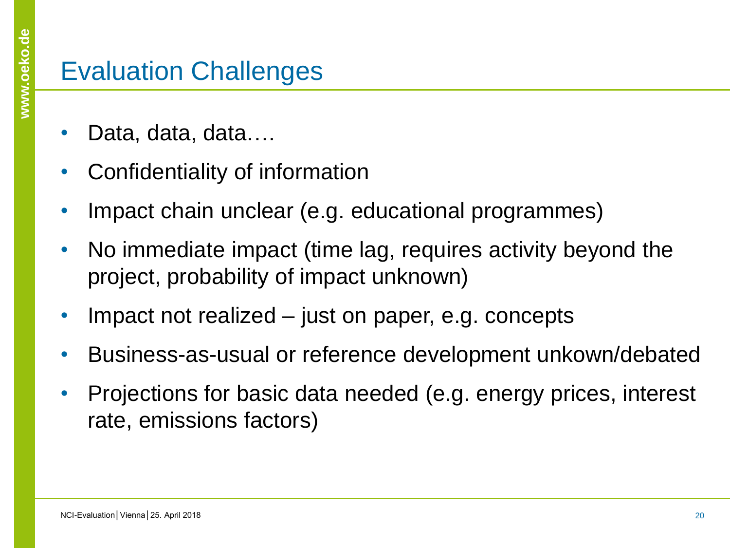#### Evaluation Challenges

- Data, data, data....
- Confidentiality of information
- Impact chain unclear (e.g. educational programmes)
- No immediate impact (time lag, requires activity beyond the project, probability of impact unknown)
- Impact not realized just on paper, e.g. concepts
- Business-as-usual or reference development unkown/debated
- Projections for basic data needed (e.g. energy prices, interest rate, emissions factors)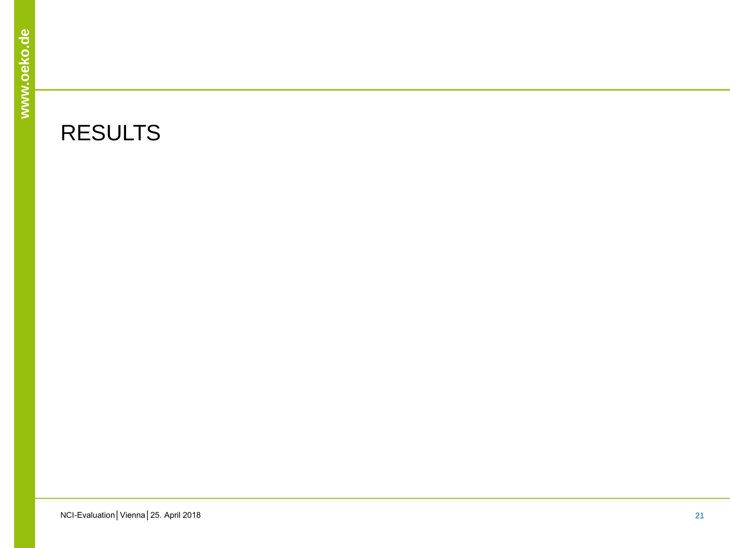#### RESULTS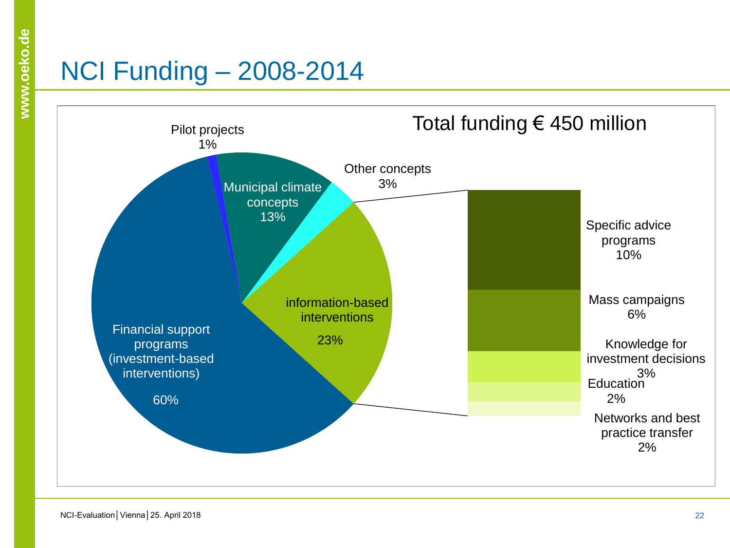## NCI Funding – 2008-2014

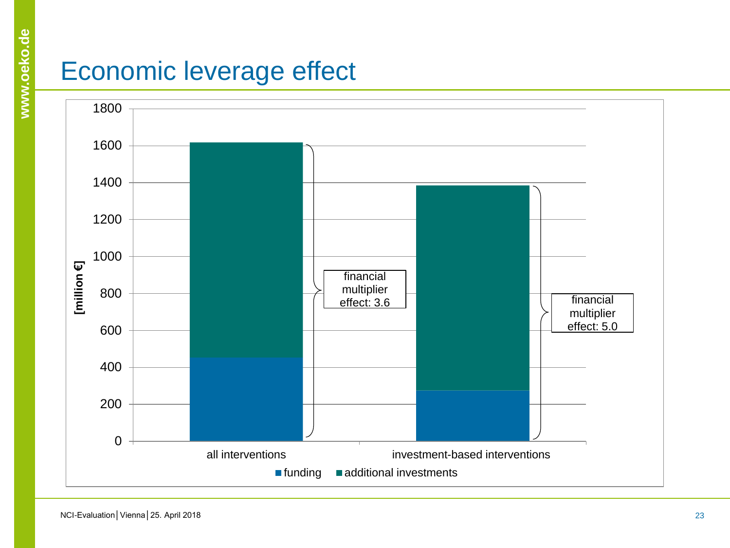#### Economic leverage effect

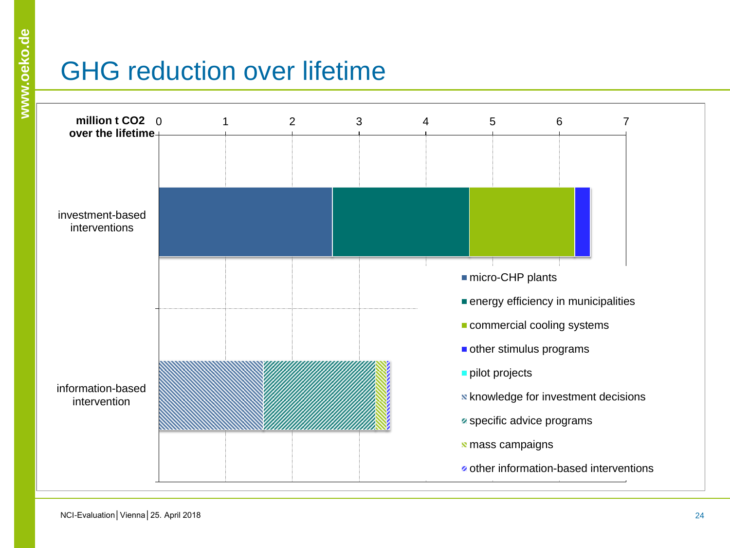## GHG reduction over lifetime

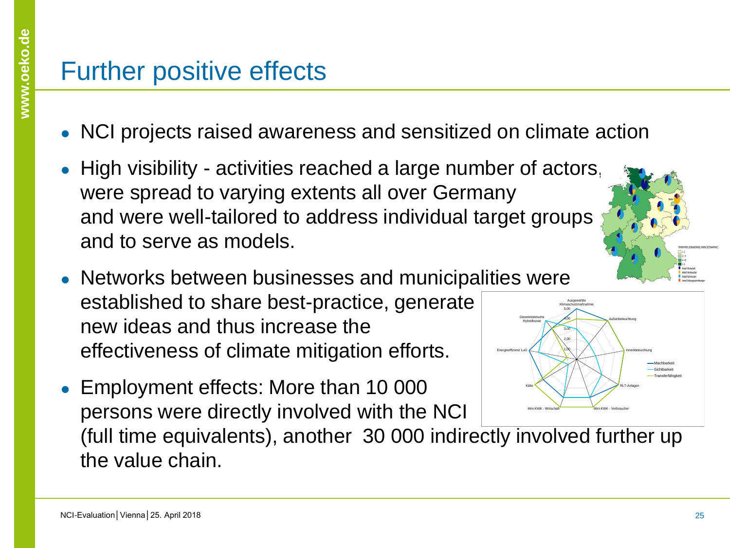#### Further positive effects

- NCI projects raised awareness and sensitized on climate action
- High visibility activities reached a large number of actors, were spread to varying extents all over Germany and were well-tailored to address individual target groups and to serve as models.
- Networks between businesses and municipalities were established to share best-practice, generate new ideas and thus increase the effectiveness of climate mitigation efforts. Energieeffizienz LuG Dieselelektrische Hybridbusse
- Employment effects: More than 10 000 persons were directly involved with the NCI



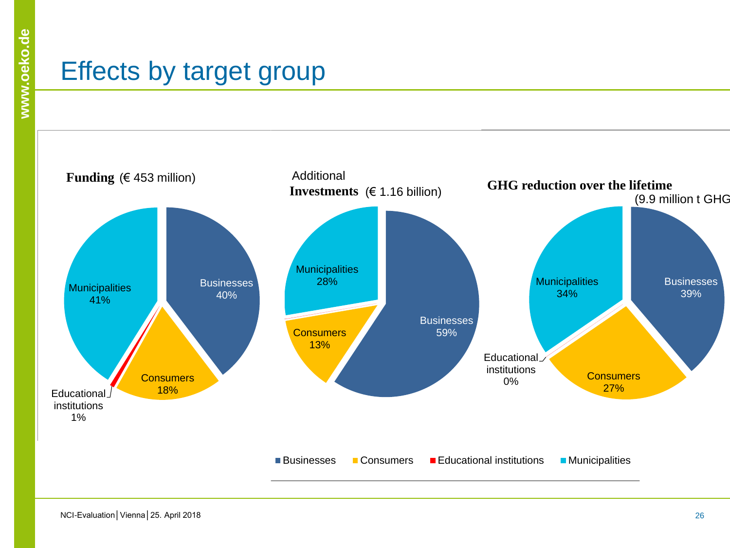#### Effects by target group

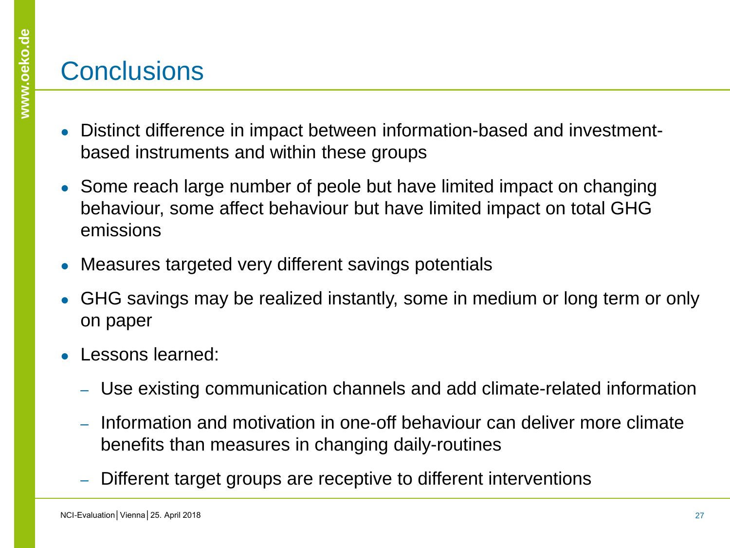#### **Conclusions**

- Distinct difference in impact between information-based and investmentbased instruments and within these groups
- Some reach large number of peole but have limited impact on changing behaviour, some affect behaviour but have limited impact on total GHG emissions
- Measures targeted very different savings potentials
- GHG savings may be realized instantly, some in medium or long term or only on paper
- Lessons learned:
	- ‒ Use existing communication channels and add climate-related information
	- ‒ Information and motivation in one-off behaviour can deliver more climate benefits than measures in changing daily-routines
	- Different target groups are receptive to different interventions